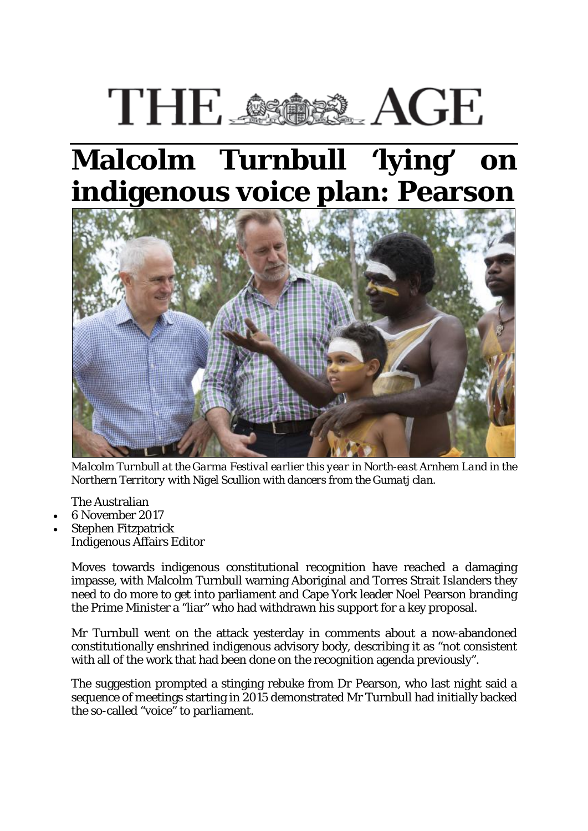## THE SSISS AGE

## **Malcolm Turnbull 'lying' on indigenous voice plan: Pearson**



*Malcolm Turnbull at the Garma Festival earlier this year in North-east Arnhem Land in the Northern Territory with Nigel Scullion with dancers from the Gumatj clan.* 

- The Australian
- 6 November 2017
- Stephen Fitzpatrick Indigenous Affairs Editor

Moves towards indigenous constitutional recognition have reached a damaging impasse, with Malcolm Turnbull warning Aboriginal and Torres Strait Islanders they need to do more to get into parliament and Cape York leader Noel Pearson branding the Prime Minister a "liar" who had withdrawn his support for a key proposal.

Mr Turnbull went on the attack yesterday in comments about a now-abandoned constitutionally enshrined indigenous advisory body, describing it as "not consistent with all of the work that had been done on the recognition agenda previously".

The suggestion prompted a stinging rebuke from Dr Pearson, who last night said a sequence of meetings starting in 2015 demonstrated Mr Turnbull had initially backed the so-called "voice" to parliament.